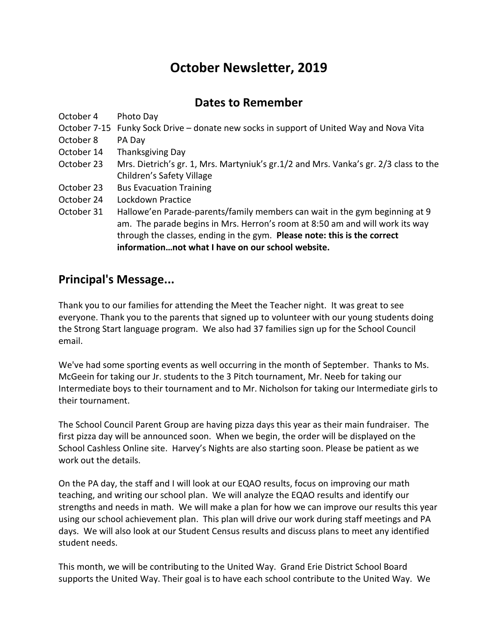## **October Newsletter, 2019**

## **Dates to Remember**

October 4 Photo Day

- October 7-15 Funky Sock Drive donate new socks in support of United Way and Nova Vita
- October 8 PA Day
- October 14 Thanksgiving Day
- October 23 Mrs. Dietrich's gr. 1, Mrs. Martyniuk's gr.1/2 and Mrs. Vanka's gr. 2/3 class to the Children's Safety Village
- October 23 Bus Evacuation Training
- October 24 Lockdown Practice
- October 31 Hallowe'en Parade-parents/family members can wait in the gym beginning at 9 am. The parade begins in Mrs. Herron's room at 8:50 am and will work its way through the classes, ending in the gym. **Please note: this is the correct information…not what I have on our school website.**

## **Principal's Message...**

Thank you to our families for attending the Meet the Teacher night. It was great to see everyone. Thank you to the parents that signed up to volunteer with our young students doing the Strong Start language program. We also had 37 families sign up for the School Council email.

We've had some sporting events as well occurring in the month of September. Thanks to Ms. McGeein for taking our Jr. students to the 3 Pitch tournament, Mr. Neeb for taking our Intermediate boys to their tournament and to Mr. Nicholson for taking our Intermediate girls to their tournament.

The School Council Parent Group are having pizza days this year as their main fundraiser. The first pizza day will be announced soon. When we begin, the order will be displayed on the School Cashless Online site. Harvey's Nights are also starting soon. Please be patient as we work out the details.

On the PA day, the staff and I will look at our EQAO results, focus on improving our math teaching, and writing our school plan. We will analyze the EQAO results and identify our strengths and needs in math. We will make a plan for how we can improve our results this year using our school achievement plan. This plan will drive our work during staff meetings and PA days. We will also look at our Student Census results and discuss plans to meet any identified student needs.

This month, we will be contributing to the United Way. Grand Erie District School Board supports the United Way. Their goal is to have each school contribute to the United Way. We